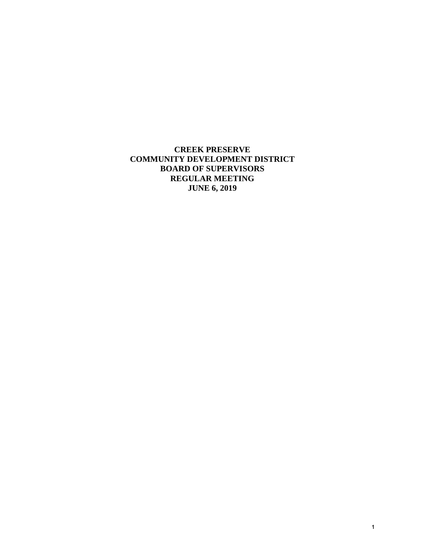**CREEK PRESERVE COMMUNITY DEVELOPMENT DISTRICT BOARD OF SUPERVISORS REGULAR MEETING JUNE 6, 2019**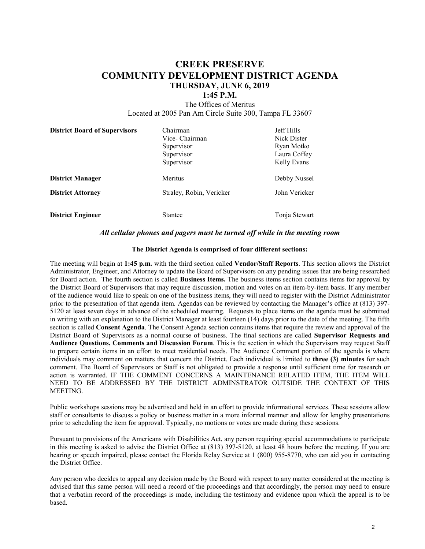# **CREEK PRESERVE COMMUNITY DEVELOPMENT DISTRICT AGENDA THURSDAY, JUNE 6, 2019**

# **1:45 P.M.**

The Offices of Meritus Located at 2005 Pan Am Circle Suite 300, Tampa FL 33607

| <b>District Board of Supervisors</b> | Chairman                 | <b>Jeff Hills</b> |
|--------------------------------------|--------------------------|-------------------|
|                                      | Vice- Chairman           | Nick Dister       |
|                                      | Supervisor               | Ryan Motko        |
|                                      | Supervisor               | Laura Coffey      |
|                                      | Supervisor               | Kelly Evans       |
| <b>District Manager</b>              | Meritus                  | Debby Nussel      |
| <b>District Attorney</b>             | Straley, Robin, Vericker | John Vericker     |
| <b>District Engineer</b>             | <b>Stantec</b>           | Tonja Stewart     |

#### *All cellular phones and pagers must be turned off while in the meeting room*

#### **The District Agenda is comprised of four different sections:**

The meeting will begin at **1:45 p.m.** with the third section called **Vendor/Staff Reports**. This section allows the District Administrator, Engineer, and Attorney to update the Board of Supervisors on any pending issues that are being researched for Board action.The fourth section is called **Business Items.** The business items section contains items for approval by the District Board of Supervisors that may require discussion, motion and votes on an item-by-item basis. If any member of the audience would like to speak on one of the business items, they will need to register with the District Administrator prior to the presentation of that agenda item. Agendas can be reviewed by contacting the Manager's office at (813) 397- 5120 at least seven days in advance of the scheduled meeting. Requests to place items on the agenda must be submitted in writing with an explanation to the District Manager at least fourteen (14) days prior to the date of the meeting. The fifth section is called **Consent Agenda**. The Consent Agenda section contains items that require the review and approval of the District Board of Supervisors as a normal course of business. The final sections are called **Supervisor Requests and Audience Questions, Comments and Discussion Forum**. This is the section in which the Supervisors may request Staff to prepare certain items in an effort to meet residential needs. The Audience Comment portion of the agenda is where individuals may comment on matters that concern the District. Each individual is limited to **three (3) minutes** for such comment. The Board of Supervisors or Staff is not obligated to provide a response until sufficient time for research or action is warranted. IF THE COMMENT CONCERNS A MAINTENANCE RELATED ITEM, THE ITEM WILL NEED TO BE ADDRESSED BY THE DISTRICT ADMINSTRATOR OUTSIDE THE CONTEXT OF THIS MEETING.

Public workshops sessions may be advertised and held in an effort to provide informational services. These sessions allow staff or consultants to discuss a policy or business matter in a more informal manner and allow for lengthy presentations prior to scheduling the item for approval. Typically, no motions or votes are made during these sessions.

Pursuant to provisions of the Americans with Disabilities Act, any person requiring special accommodations to participate in this meeting is asked to advise the District Office at (813) 397-5120, at least 48 hours before the meeting. If you are hearing or speech impaired, please contact the Florida Relay Service at 1 (800) 955-8770, who can aid you in contacting the District Office.

Any person who decides to appeal any decision made by the Board with respect to any matter considered at the meeting is advised that this same person will need a record of the proceedings and that accordingly, the person may need to ensure that a verbatim record of the proceedings is made, including the testimony and evidence upon which the appeal is to be based.